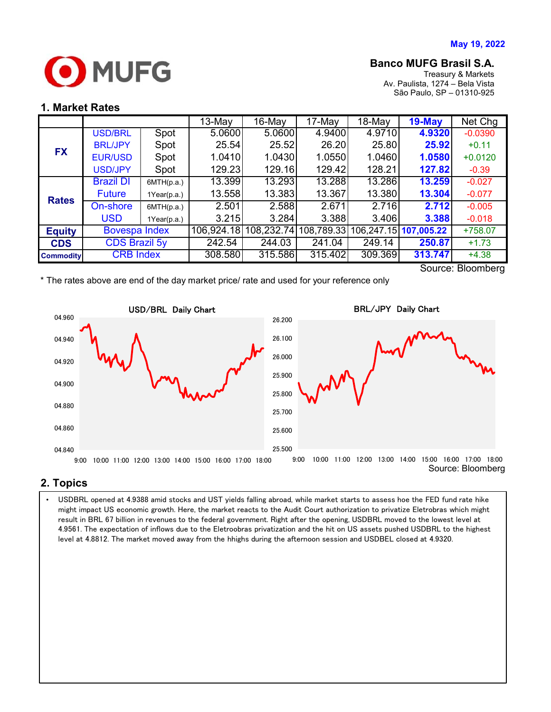

# **Banco MUFG Brasil S.A.**

Treasury & Markets Av. Paulista, 1274 – Bela Vista São Paulo, SP – 01310-925

### **1. Market Rates**

|                   |                      |             | $13-Mav$   | $16$ -May  | 17-May     | 18-May  | $19$ -May             | Net Chg   |
|-------------------|----------------------|-------------|------------|------------|------------|---------|-----------------------|-----------|
| <b>FX</b>         | <b>USD/BRL</b>       | Spot        | 5.0600     | 5.0600     | 4.9400     | 4.9710  | 4.9320                | $-0.0390$ |
|                   | <b>BRL/JPY</b>       | Spot        | 25.54      | 25.52      | 26.20      | 25.80   | 25.92                 | $+0.11$   |
|                   | <b>EUR/USD</b>       | Spot        | 1.0410     | 1.0430     | 1.0550     | 1.0460  | 1.0580                | $+0.0120$ |
|                   | <b>USD/JPY</b>       | Spot        | 129.23     | 129.16     | 129.42     | 128.21  | 127.82                | $-0.39$   |
| <b>Rates</b>      | <b>Brazil DI</b>     | 6MTH(p.a.)  | 13.399     | 13.293     | 13.288     | 13.286  | 13.259                | $-0.027$  |
|                   | <b>Future</b>        | 1Year(p.a.) | 13.558     | 13.383     | 13.367     | 13.380  | 13.304                | $-0.077$  |
|                   | On-shore             | 6MTH(p.a.)  | 2.501      | 2.588      | 2.671      | 2.716   | 2.712                 | $-0.005$  |
|                   | <b>USD</b>           | 1Year(p.a.) | 3.215      | 3.284      | 3.388      | 3.406   | 3.388                 | $-0.018$  |
| <b>Equity</b>     | <b>Bovespa Index</b> |             | 106,924.18 | 108,232.74 | 108,789.33 |         | 106,247.15 107,005.22 | +758.07   |
| <b>CDS</b>        | <b>CDS Brazil 5y</b> |             | 242.54     | 244.03     | 241.04     | 249.14  | 250.87                | $+1.73$   |
| <b>Commodity</b>  | <b>CRB Index</b>     |             | 308.580    | 315.586    | 315.402    | 309.369 | 313.747               | $+4.38$   |
| Source: Ploomborg |                      |             |            |            |            |         |                       |           |

Source: Bloomberg

\* The rates above are end of the day market price/ rate and used for your reference only



### **2. Topics**

 4.9561. The expectation of inflows due to the Eletroobras privatization and the hit on US assets pushed USDBRL to the highest • USDBRL opened at 4.9388 amid stocks and UST yields falling abroad, while market starts to assess hoe the FED fund rate hike might impact US economic growth. Here, the market reacts to the Audit Court authorization to privatize Eletrobras which might result in BRL 67 billion in revenues to the federal government. Right after the opening, USDBRL moved to the lowest level at level at 4.8812. The market moved away from the hhighs during the afternoon session and USDBEL closed at 4.9320.